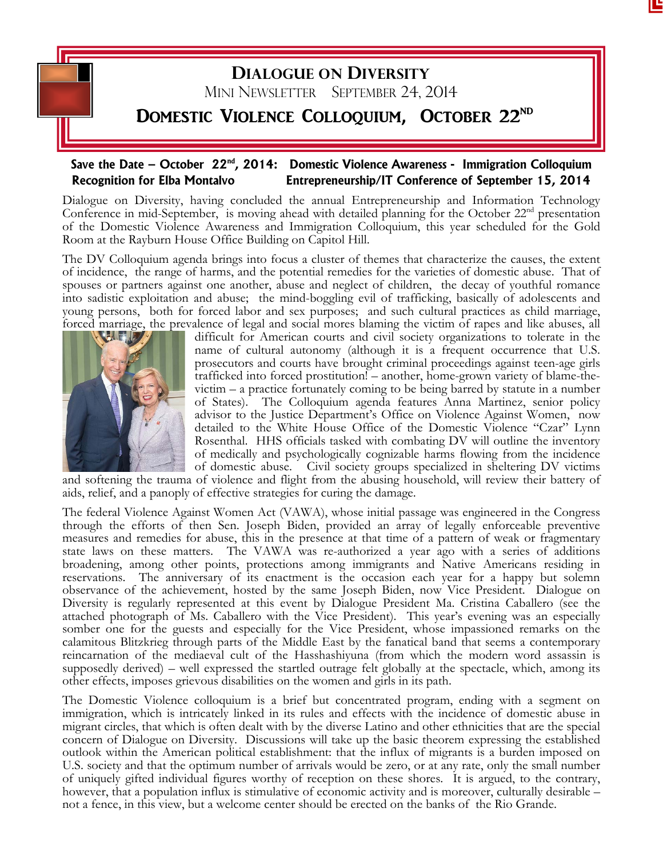

## **Save the Date – October 22nd, 2014: Domestic Violence Awareness - Immigration Colloquium Recognition for Elba Montalvo Entrepreneurship/IT Conference of September 15, 2014**

Dialogue on Diversity, having concluded the annual Entrepreneurship and Information Technology Conference in mid-September, is moving ahead with detailed planning for the October 22<sup>nd</sup> presentation of the Domestic Violence Awareness and Immigration Colloquium, this year scheduled for the Gold Room at the Rayburn House Office Building on Capitol Hill.

The DV Colloquium agenda brings into focus a cluster of themes that characterize the causes, the extent of incidence, the range of harms, and the potential remedies for the varieties of domestic abuse. That of spouses or partners against one another, abuse and neglect of children, the decay of youthful romance into sadistic exploitation and abuse; the mind-boggling evil of trafficking, basically of adolescents and young persons, both for forced labor and sex purposes; and such cultural practices as child marriage, forced marriage, the prevalence of legal and social mores blaming the victim of rapes and like abuses, all



difficult for American courts and civil society organizations to tolerate in the name of cultural autonomy (although it is a frequent occurrence that U.S. prosecutors and courts have brought criminal proceedings against teen-age girls trafficked into forced prostitution! – another, home-grown variety of blame-thevictim – a practice fortunately coming to be being barred by statute in a number of States). The Colloquium agenda features Anna Martinez, senior policy advisor to the Justice Department's Office on Violence Against Women, now detailed to the White House Office of the Domestic Violence "Czar" Lynn Rosenthal. HHS officials tasked with combating DV will outline the inventory of medically and psychologically cognizable harms flowing from the incidence of domestic abuse. Civil society groups specialized in sheltering DV victims

and softening the trauma of violence and flight from the abusing household, will review their battery of aids, relief, and a panoply of effective strategies for curing the damage.

The federal Violence Against Women Act (VAWA), whose initial passage was engineered in the Congress through the efforts of then Sen. Joseph Biden, provided an array of legally enforceable preventive measures and remedies for abuse, this in the presence at that time of a pattern of weak or fragmentary state laws on these matters. The VAWA was re-authorized a year ago with a series of additions broadening, among other points, protections among immigrants and Native Americans residing in reservations. The anniversary of its enactment is the occasion each year for a happy but solemn observance of the achievement, hosted by the same Joseph Biden, now Vice President. Dialogue on Diversity is regularly represented at this event by Dialogue President Ma. Cristina Caballero (see the attached photograph of Ms. Caballero with the Vice President). This year's evening was an especially somber one for the guests and especially for the Vice President, whose impassioned remarks on the calamitous Blitzkrieg through parts of the Middle East by the fanatical band that seems a contemporary reincarnation of the mediaeval cult of the Hasshashiyuna (from which the modern word assassin is supposedly derived) – well expressed the startled outrage felt globally at the spectacle, which, among its other effects, imposes grievous disabilities on the women and girls in its path.

The Domestic Violence colloquium is a brief but concentrated program, ending with a segment on immigration, which is intricately linked in its rules and effects with the incidence of domestic abuse in migrant circles, that which is often dealt with by the diverse Latino and other ethnicities that are the special concern of Dialogue on Diversity. Discussions will take up the basic theorem expressing the established outlook within the American political establishment: that the influx of migrants is a burden imposed on U.S. society and that the optimum number of arrivals would be zero, or at any rate, only the small number of uniquely gifted individual figures worthy of reception on these shores. It is argued, to the contrary, however, that a population influx is stimulative of economic activity and is moreover, culturally desirable – not a fence, in this view, but a welcome center should be erected on the banks of the Rio Grande.